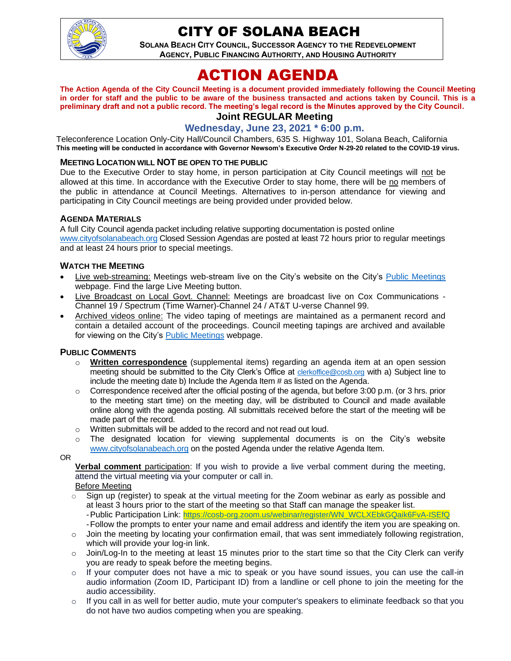

# CITY OF SOLANA BEACH

**SOLANA BEACH CITY COUNCIL, SUCCESSOR AGENCY TO THE REDEVELOPMENT AGENCY, PUBLIC FINANCING AUTHORITY, AND HOUSING AUTHORITY** 

# ACTION AGENDA

**The Action Agenda of the City Council Meeting is a document provided immediately following the Council Meeting in order for staff and the public to be aware of the business transacted and actions taken by Council. This is a preliminary draft and not a public record. The meeting's legal record is the Minutes approved by the City Council.**

# **Joint REGULAR Meeting**

**Wednesday, June 23, 2021 \* 6:00 p.m.**

Teleconference Location Only-City Hall/Council Chambers, 635 S. Highway 101, Solana Beach, California **This meeting will be conducted in accordance with Governor Newsom's Executive Order N-29-20 related to the COVID-19 virus.**

#### **MEETING LOCATION WILL NOT BE OPEN TO THE PUBLIC**

Due to the Executive Order to stay home, in person participation at City Council meetings will not be allowed at this time. In accordance with the Executive Order to stay home, there will be no members of the public in attendance at Council Meetings. Alternatives to in-person attendance for viewing and participating in City Council meetings are being provided under provided below.

#### **AGENDA MATERIALS**

A full City Council agenda packet including relative supporting documentation is posted online [www.cityofsolanabeach.org](http://www.cityofsolanabeach.org/) Closed Session Agendas are posted at least 72 hours prior to regular meetings and at least 24 hours prior to special meetings.

#### **WATCH THE MEETING**

- Live web-streaming: Meetings web-stream live on the City's website on the City's [Public Meetings](https://urldefense.proofpoint.com/v2/url?u=https-3A__www.ci.solana-2Dbeach.ca.us_index.asp-3FSEC-3DF0F1200D-2D21C6-2D4A88-2D8AE1-2D0BC07C1A81A7-26Type-3DB-5FBASIC&d=DwMFAg&c=euGZstcaTDllvimEN8b7jXrwqOf-v5A_CdpgnVfiiMM&r=1XAsCUuqwK_tji2t0s1uIQ&m=wny2RVfZJ2tN24LkqZmkUWNpwL_peNtTZUBlTBZiMM4&s=WwpcEQpHHkFen6nS6q2waMuQ_VMZ-i1YZ60lD-dYRRE&e=) webpage. Find the large Live Meeting button.
- Live Broadcast on Local Govt. Channel: Meetings are broadcast live on Cox Communications Channel 19 / Spectrum (Time Warner)-Channel 24 / AT&T U-verse Channel 99.
- Archived videos online: The video taping of meetings are maintained as a permanent record and contain a detailed account of the proceedings. Council meeting tapings are archived and available for viewing on the City's **Public [Meetings](https://urldefense.proofpoint.com/v2/url?u=https-3A__www.ci.solana-2Dbeach.ca.us_index.asp-3FSEC-3DF0F1200D-2D21C6-2D4A88-2D8AE1-2D0BC07C1A81A7-26Type-3DB-5FBASIC&d=DwMFAg&c=euGZstcaTDllvimEN8b7jXrwqOf-v5A_CdpgnVfiiMM&r=1XAsCUuqwK_tji2t0s1uIQ&m=wny2RVfZJ2tN24LkqZmkUWNpwL_peNtTZUBlTBZiMM4&s=WwpcEQpHHkFen6nS6q2waMuQ_VMZ-i1YZ60lD-dYRRE&e=)** webpage.

#### **PUBLIC COMMENTS**

- o **Written correspondence** (supplemental items) regarding an agenda item at an open session meeting should be submitted to the City Clerk's Office at [clerkoffice@cosb.org](mailto:clerkoffice@cosb.org) with a) Subject line to include the meeting date b) Include the Agenda Item # as listed on the Agenda.
- $\circ$  Correspondence received after the official posting of the agenda, but before 3:00 p.m. (or 3 hrs. prior to the meeting start time) on the meeting day, will be distributed to Council and made available online along with the agenda posting. All submittals received before the start of the meeting will be made part of the record.
- o Written submittals will be added to the record and not read out loud.
- $\circ$  The designated location for viewing supplemental documents is on the City's website [www.cityofsolanabeach.org](http://www.cityofsolanabeach.org/) on the posted Agenda under the relative Agenda Item.
- OR

**Verbal comment** participation: If you wish to provide a live verbal comment during the meeting, attend the virtual meeting via your computer or call in.

#### Before Meeting

- $\circ$  Sign up (register) to speak at the virtual meeting for the Zoom webinar as early as possible and at least 3 hours prior to the start of the meeting so that Staff can manage the speaker list. -Public Participation Link: [https://cosb-org.zoom.us/webinar/register/WN\\_WCLXEbkGQaik6FvA-ISEfQ](https://cosb-org.zoom.us/webinar/register/WN_WCLXEbkGQaik6FvA-ISEfQ) -Follow the prompts to enter your name and email address and identify the item you are speaking on.
- $\circ$  Join the meeting by locating your confirmation email, that was sent immediately following registration, which will provide your log-in link.
- $\circ$  Join/Log-In to the meeting at least 15 minutes prior to the start time so that the City Clerk can verify you are ready to speak before the meeting begins.
- $\circ$  If your computer does not have a mic to speak or you have sound issues, you can use the call-in audio information (Zoom ID, Participant ID) from a landline or cell phone to join the meeting for the audio accessibility.
- $\circ$  If you call in as well for better audio, mute your computer's speakers to eliminate feedback so that you do not have two audios competing when you are speaking.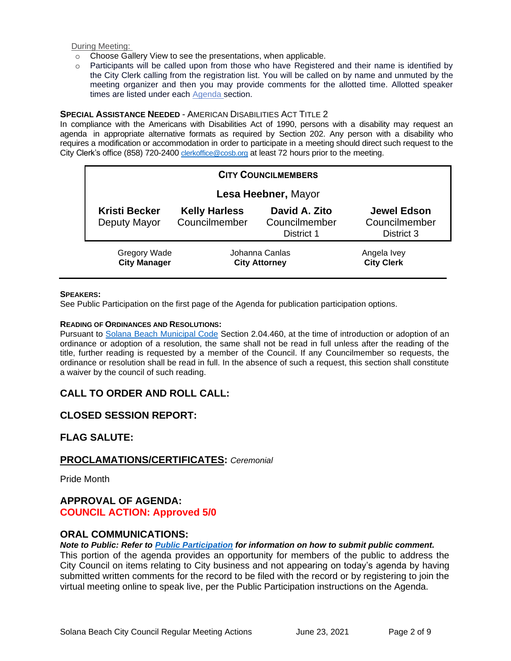During Meeting:

- o Choose Gallery View to see the presentations, when applicable.
- o Participants will be called upon from those who have Registered and their name is identified by the City Clerk calling from the registration list. You will be called on by name and unmuted by the meeting organizer and then you may provide comments for the allotted time. Allotted speaker times are listed under each [Agenda s](https://urldefense.proofpoint.com/v2/url?u=https-3A__www.ci.solana-2Dbeach.ca.us_index.asp-3FSEC-3DF0F1200D-2D21C6-2D4A88-2D8AE1-2D0BC07C1A81A7-26Type-3DB-5FBASIC&d=DwMFaQ&c=euGZstcaTDllvimEN8b7jXrwqOf-v5A_CdpgnVfiiMM&r=1XAsCUuqwK_tji2t0s1uIQ&m=C7WzXfOw2_nkEFMJClT55zZsF4tmIf_7KTn0o1WpYqI&s=3DcsWExM2_nx_xpvFtXslUjphiXd0MDCCF18y_Qy5yU&e=)ection.

#### **SPECIAL ASSISTANCE NEEDED** - AMERICAN DISABILITIES ACT TITLE 2

In compliance with the Americans with Disabilities Act of 1990, persons with a disability may request an agenda in appropriate alternative formats as required by Section 202. Any person with a disability who requires a modification or accommodation in order to participate in a meeting should direct such request to the City Clerk's office (858) 720-2400 [clerkoffice@cosb.org](mailto:EMAILGRP-CityClerksOfc@cosb.org) at least 72 hours prior to the meeting.

| <b>CITY COUNCILMEMBERS</b>                 |                                        |                                              |                                                   |  |
|--------------------------------------------|----------------------------------------|----------------------------------------------|---------------------------------------------------|--|
|                                            | Lesa Heebner, Mayor                    |                                              |                                                   |  |
| <b>Kristi Becker</b><br>Deputy Mayor       | <b>Kelly Harless</b><br>Councilmember  | David A. Zito<br>Councilmember<br>District 1 | <b>Jewel Edson</b><br>Councilmember<br>District 3 |  |
| <b>Gregory Wade</b><br><b>City Manager</b> | Johanna Canlas<br><b>City Attorney</b> |                                              | Angela Ivey<br><b>City Clerk</b>                  |  |

#### **SPEAKERS:**

See Public Participation on the first page of the Agenda for publication participation options.

#### **READING OF ORDINANCES AND RESOLUTIONS:**

Pursuant to [Solana Beach Municipal Code](https://www.codepublishing.com/CA/SolanaBeach/) Section 2.04.460, at the time of introduction or adoption of an ordinance or adoption of a resolution, the same shall not be read in full unless after the reading of the title, further reading is requested by a member of the Council. If any Councilmember so requests, the ordinance or resolution shall be read in full. In the absence of such a request, this section shall constitute a waiver by the council of such reading.

### **CALL TO ORDER AND ROLL CALL:**

### **CLOSED SESSION REPORT:**

### **FLAG SALUTE:**

### **PROCLAMATIONS/CERTIFICATES:** *Ceremonial*

Pride Month

### **APPROVAL OF AGENDA: COUNCIL ACTION: Approved 5/0**

## **ORAL COMMUNICATIONS:**

#### *Note to Public: Refer to Public Participation for information on how to submit public comment.*

This portion of the agenda provides an opportunity for members of the public to address the City Council on items relating to City business and not appearing on today's agenda by having submitted written comments for the record to be filed with the record or by registering to join the virtual meeting online to speak live, per the Public Participation instructions on the Agenda.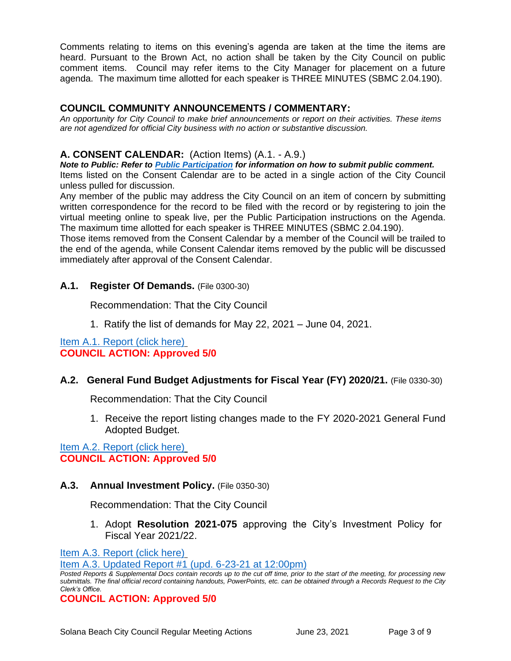Comments relating to items on this evening's agenda are taken at the time the items are heard. Pursuant to the Brown Act, no action shall be taken by the City Council on public comment items. Council may refer items to the City Manager for placement on a future agenda. The maximum time allotted for each speaker is THREE MINUTES (SBMC 2.04.190).

### **COUNCIL COMMUNITY ANNOUNCEMENTS / COMMENTARY:**

*An opportunity for City Council to make brief announcements or report on their activities. These items are not agendized for official City business with no action or substantive discussion.* 

## **A. CONSENT CALENDAR:** (Action Items) (A.1. - A.9.)

*Note to Public: Refer to Public Participation for information on how to submit public comment.*  Items listed on the Consent Calendar are to be acted in a single action of the City Council unless pulled for discussion.

Any member of the public may address the City Council on an item of concern by submitting written correspondence for the record to be filed with the record or by registering to join the virtual meeting online to speak live, per the Public Participation instructions on the Agenda. The maximum time allotted for each speaker is THREE MINUTES (SBMC 2.04.190).

Those items removed from the Consent Calendar by a member of the Council will be trailed to the end of the agenda, while Consent Calendar items removed by the public will be discussed immediately after approval of the Consent Calendar.

## **A.1. Register Of Demands.** (File 0300-30)

Recommendation: That the City Council

1. Ratify the list of demands for May 22, 2021 – June 04, 2021.

[Item A.1. Report \(click here\)](https://solanabeach.govoffice3.com/vertical/Sites/%7B840804C2-F869-4904-9AE3-720581350CE7%7D/uploads/Item_A.1._Report_(click_here)_06-23-21_O.pdf) **COUNCIL ACTION: Approved 5/0**

# **A.2. General Fund Budget Adjustments for Fiscal Year (FY) 2020/21.** (File 0330-30)

Recommendation: That the City Council

1. Receive the report listing changes made to the FY 2020-2021 General Fund Adopted Budget.

[Item A.2. Report \(click here\)](https://solanabeach.govoffice3.com/vertical/Sites/%7B840804C2-F869-4904-9AE3-720581350CE7%7D/uploads/Item_A.2._Report_(click_here)_06-23-21_O.pdf) **COUNCIL ACTION: Approved 5/0**

### **A.3. Annual Investment Policy.** (File 0350-30)

Recommendation: That the City Council

1. Adopt **Resolution 2021-075** approving the City's Investment Policy for [Fiscal Year](https://solanabeach.govoffice3.com/vertical/Sites/%7B840804C2-F869-4904-9AE3-720581350CE7%7D/uploads/Item_A.3._Report_(click_here)_06-23-21_O(1).pdf) 2021/22.

[Item A.3. Report \(click here\)](https://solanabeach.govoffice3.com/vertical/Sites/%7B840804C2-F869-4904-9AE3-720581350CE7%7D/uploads/Item_A.3._Report_(click_here)_06-23-21_O(1).pdf)

[Item A.3. Updated Report #1 \(upd. 6-23-21 at 12:00pm\)](https://solanabeach.govoffice3.com/vertical/Sites/%7B840804C2-F869-4904-9AE3-720581350CE7%7D/uploads/A.3._Updated_Report_1_(6-23_at_1pm)_-_O.pdf)

*Posted Reports & Supplemental Docs contain records up to the cut off time, prior to the start of the meeting, for processing new submittals. The final official record containing handouts, PowerPoints, etc. can be obtained through a Records Request to the City Clerk's Office.*

**COUNCIL ACTION: Approved 5/0**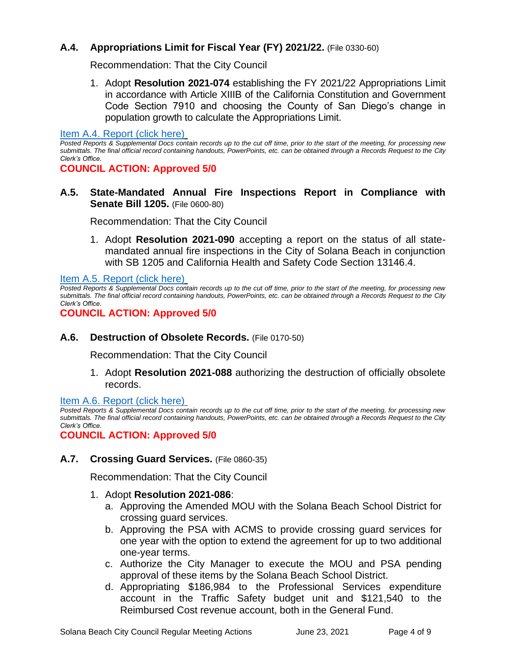# **A.4. Appropriations Limit for Fiscal Year (FY) 2021/22.** (File 0330-60)

Recommendation: That the City Council

1. Adopt **Resolution 2021-074** establishing the FY 2021/22 Appropriations Limit in accordance with Article XIIIB of the California Constitution and Government Code Section 7910 and choosing the County of San Diego's change in population growth to calculate the Appropriations Limit.

#### [Item A.4. Report \(click here\)](https://solanabeach.govoffice3.com/vertical/Sites/%7B840804C2-F869-4904-9AE3-720581350CE7%7D/uploads/Item_A.4._Report_(click_here)_06-23-21_O.pdf)

*Posted Reports & Supplemental Docs contain records up to the cut off time, prior to the start of the meeting, for processing new submittals. The final official record containing handouts, PowerPoints, etc. can be obtained through a Records Request to the City Clerk's Office.*

**COUNCIL ACTION: Approved 5/0**

**A.5. State-Mandated Annual Fire Inspections Report in Compliance with Senate Bill 1205.** (File 0600-80)

Recommendation: That the City Council

1. Adopt **Resolution 2021-090** accepting a report on the status of all statemandated annual fire inspections in the City of Solana Beach in conjunction with SB 1205 and California Health and Safety Code Section 13146.4.

[Item A.5. Report \(click here\)](https://solanabeach.govoffice3.com/vertical/Sites/%7B840804C2-F869-4904-9AE3-720581350CE7%7D/uploads/Item_A.5._Report_(click_here)_06-23-21_O.pdf)

*Posted Reports & Supplemental Docs contain records up to the cut off time, prior to the start of the meeting, for processing new submittals. The final official record containing handouts, PowerPoints, etc. can be obtained through a Records Request to the City Clerk's Office.*

**COUNCIL ACTION: Approved 5/0**

# **A.6. Destruction of Obsolete Records.** (File 0170-50)

Recommendation: That the City Council

1. Adopt **Resolution 2021-088** authorizing the destruction of officially obsolete records.

### [Item A.6. Report \(click here\)](https://solanabeach.govoffice3.com/vertical/Sites/%7B840804C2-F869-4904-9AE3-720581350CE7%7D/uploads/Item_A.6._Report_(click_here)_06-23-21_O.pdf)

*Posted Reports & Supplemental Docs contain records up to the cut off time, prior to the start of the meeting, for processing new submittals. The final official record containing handouts, PowerPoints, etc. can be obtained through a Records Request to the City Clerk's Office.*

**COUNCIL ACTION: Approved 5/0**

**A.7. Crossing Guard Services.** (File 0860-35)

Recommendation: That the City Council

### 1. Adopt **Resolution 2021-086**:

- a. Approving the Amended MOU with the Solana Beach School District for crossing guard services.
- b. Approving the PSA with ACMS to provide crossing guard services for one year with the option to extend the agreement for up to two additional one-year terms.
- c. Authorize the City Manager to execute the MOU and PSA pending approval of these items by the Solana Beach School District.
- d. Appropriating \$186,984 to the Professional Services expenditure account in the Traffic Safety budget unit and \$121,540 to the Reimbursed Cost revenue account, both in the General Fund.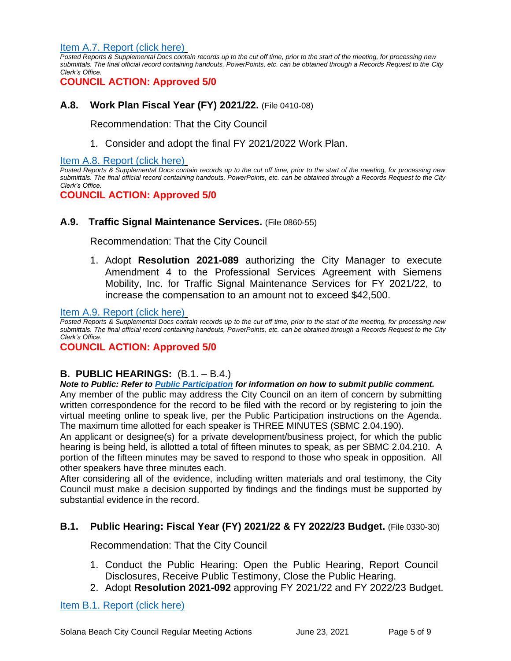[Item A.7. Report \(click here\)](https://solanabeach.govoffice3.com/vertical/Sites/%7B840804C2-F869-4904-9AE3-720581350CE7%7D/uploads/Item_A.7._Report_(click_here)_06-23-21_O.pdf)

*Posted Reports & Supplemental Docs contain records up to the cut off time, prior to the start of the meeting, for processing new submittals. The final official record containing handouts, PowerPoints, etc. can be obtained through a Records Request to the City Clerk's Office.*

# **COUNCIL ACTION: Approved 5/0**

## **A.8. Work Plan Fiscal Year (FY) 2021/22.** (File 0410-08)

Recommendation: That the City Council

1. Consider and adopt the final FY 2021/2022 Work Plan.

#### [Item A.8. Report \(click here\)](https://solanabeach.govoffice3.com/vertical/Sites/%7B840804C2-F869-4904-9AE3-720581350CE7%7D/uploads/Item_A.8._Report_(click_here)_06-23-21_O.pdf)

*Posted Reports & Supplemental Docs contain records up to the cut off time, prior to the start of the meeting, for processing new submittals. The final official record containing handouts, PowerPoints, etc. can be obtained through a Records Request to the City Clerk's Office.*

**COUNCIL ACTION: Approved 5/0**

### **A.9. Traffic Signal Maintenance Services.** (File 0860-55)

Recommendation: That the City Council

1. Adopt **Resolution 2021-089** authorizing the City Manager to execute Amendment 4 to the Professional Services Agreement with Siemens Mobility, Inc. for Traffic Signal Maintenance Services for FY 2021/22, to increase the compensation to an amount not to exceed \$42,500.

#### [Item A.9. Report \(click here\)](https://solanabeach.govoffice3.com/vertical/Sites/%7B840804C2-F869-4904-9AE3-720581350CE7%7D/uploads/Item_A.9._Report_(click_here)_06-23-21_O.pdf)

*Posted Reports & Supplemental Docs contain records up to the cut off time, prior to the start of the meeting, for processing new submittals. The final official record containing handouts, PowerPoints, etc. can be obtained through a Records Request to the City Clerk's Office.*

### **COUNCIL ACTION: Approved 5/0**

### **B. PUBLIC HEARINGS:** (B.1. – B.4.)

*Note to Public: Refer to Public Participation for information on how to submit public comment.*  Any member of the public may address the City Council on an item of concern by submitting written correspondence for the record to be filed with the record or by registering to join the virtual meeting online to speak live, per the Public Participation instructions on the Agenda. The maximum time allotted for each speaker is THREE MINUTES (SBMC 2.04.190).

An applicant or designee(s) for a private development/business project, for which the public hearing is being held, is allotted a total of fifteen minutes to speak, as per SBMC 2.04.210. A portion of the fifteen minutes may be saved to respond to those who speak in opposition. All other speakers have three minutes each.

After considering all of the evidence, including written materials and oral testimony, the City Council must make a decision supported by findings and the findings must be supported by substantial evidence in the record.

### **B.1. Public Hearing: Fiscal Year (FY) 2021/22 & FY 2022/23 Budget.** (File 0330-30)

Recommendation: That the City Council

- 1. Conduct the Public Hearing: Open the Public Hearing, Report Council Disclosures, Receive Public Testimony, Close the Public Hearing.
- 2. Adopt **Resolution 2021-092** approving FY 2021/22 and FY 2022/23 Budget.

### [Item B.1. Report \(click here\)](https://solanabeach.govoffice3.com/vertical/Sites/%7B840804C2-F869-4904-9AE3-720581350CE7%7D/uploads/Item_B.1._Report_(click_here)_06-23-21_O.pdf)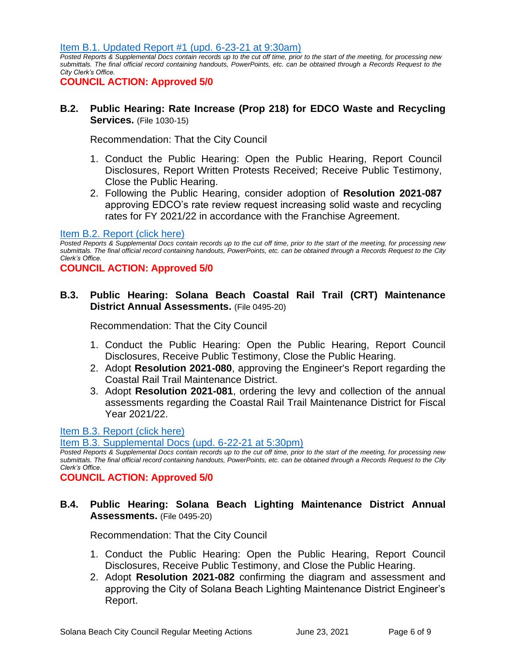[Item B.1. Updated Report #1 \(upd. 6-23-21](https://solanabeach.govoffice3.com/vertical/Sites/%7B840804C2-F869-4904-9AE3-720581350CE7%7D/uploads/Item_B.1._Updated_Report_1_(6-23)_-_O.pdf) at 9:30am)

*Posted Reports & Supplemental Docs contain records up to the cut off time, prior to the start of the meeting, for processing new submittals. The final official record containing handouts, PowerPoints, etc. can be obtained through a Records Request to the City Clerk's Office.*

**COUNCIL ACTION: Approved 5/0**

## **B.2. Public Hearing: Rate Increase (Prop 218) for EDCO Waste and Recycling Services.** (File 1030-15)

Recommendation: That the City Council

- 1. Conduct the Public Hearing: Open the Public Hearing, Report Council Disclosures, Report Written Protests Received; Receive Public Testimony, Close the Public Hearing.
- 2. Following the Public Hearing, consider adoption of **Resolution 2021-087** approving EDCO's rate review request increasing solid waste and recycling rates for FY 2021/22 in accordance with the Franchise Agreement.

#### [Item B.2. Report \(click here\)](https://solanabeach.govoffice3.com/vertical/Sites/%7B840804C2-F869-4904-9AE3-720581350CE7%7D/uploads/Item_B.2._Report_(click_here)_06-23-21_O.pdf)

*Posted Reports & Supplemental Docs contain records up to the cut off time, prior to the start of the meeting, for processing new submittals. The final official record containing handouts, PowerPoints, etc. can be obtained through a Records Request to the City Clerk's Office.*

**COUNCIL ACTION: Approved 5/0**

## **B.3. Public Hearing: Solana Beach Coastal Rail Trail (CRT) Maintenance District Annual Assessments.** (File 0495-20)

Recommendation: That the City Council

- 1. Conduct the Public Hearing: Open the Public Hearing, Report Council Disclosures, Receive Public Testimony, Close the Public Hearing.
- 2. Adopt **Resolution 2021-080**, approving the Engineer's Report regarding the Coastal Rail Trail Maintenance District.
- 3. Adopt **Resolution 2021-081**, ordering the levy and collection of the annual assessments regarding the Coastal Rail Trail Maintenance District for Fiscal Year 2021/22.

[Item B.3. Report \(click here\)](https://solanabeach.govoffice3.com/vertical/Sites/%7B840804C2-F869-4904-9AE3-720581350CE7%7D/uploads/Item_B.3._Report_(click_here)_06-23-21_O(1).pdf)

[Item B.3. Supplemental Docs \(upd. 6-22-21 at 5:30pm\)](https://solanabeach.govoffice3.com/vertical/Sites/%7B840804C2-F869-4904-9AE3-720581350CE7%7D/uploads/Item_B.3._Supplemental_Docs_(upd._6-22_at_455pm)_-_O.pdf)

*Posted Reports & Supplemental Docs contain records up to the cut off time, prior to the start of the meeting, for processing new submittals. The final official record containing handouts, PowerPoints, etc. can be obtained through a Records Request to the City Clerk's Office.*

**COUNCIL ACTION: Approved 5/0**

# **B.4. Public Hearing: Solana Beach Lighting Maintenance District Annual Assessments.** (File 0495-20)

Recommendation: That the City Council

- 1. Conduct the Public Hearing: Open the Public Hearing, Report Council Disclosures, Receive Public Testimony, and Close the Public Hearing.
- 2. Adopt **Resolution 2021-082** confirming the diagram and assessment and approving the City of Solana Beach Lighting Maintenance District Engineer's Report.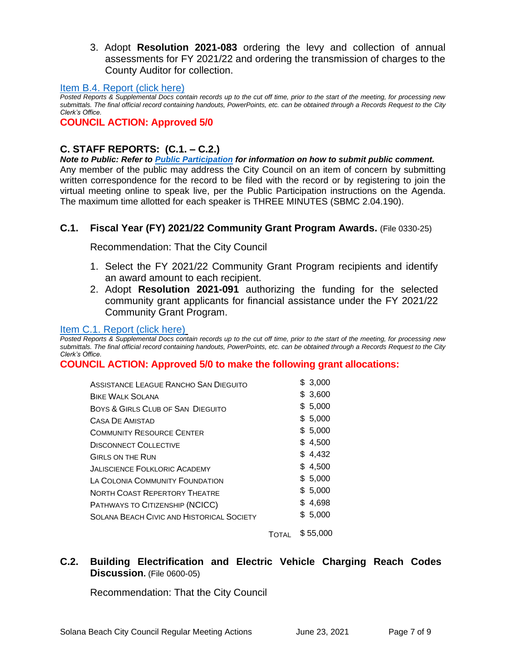3. Adopt **Resolution 2021-083** ordering the levy and collection of annual assessments for FY 2021/22 and ordering the transmission of charges to the County Auditor for collection.

#### [Item B.4. Report \(click here\)](https://solanabeach.govoffice3.com/vertical/Sites/%7B840804C2-F869-4904-9AE3-720581350CE7%7D/uploads/Item_B.4._Report_(click_here)_06-23-21_O.pdf)

*Posted Reports & Supplemental Docs contain records up to the cut off time, prior to the start of the meeting, for processing new submittals. The final official record containing handouts, PowerPoints, etc. can be obtained through a Records Request to the City Clerk's Office.*

### **COUNCIL ACTION: Approved 5/0**

# **C. STAFF REPORTS: (C.1. – C.2.)**

*Note to Public: Refer to Public Participation for information on how to submit public comment.*  Any member of the public may address the City Council on an item of concern by submitting written correspondence for the record to be filed with the record or by registering to join the virtual meeting online to speak live, per the Public Participation instructions on the Agenda. The maximum time allotted for each speaker is THREE MINUTES (SBMC 2.04.190).

## **C.1. Fiscal Year (FY) 2021/22 Community Grant Program Awards.** (File 0330-25)

Recommendation: That the City Council

- 1. Select the FY 2021/22 Community Grant Program recipients and identify an award amount to each recipient.
- 2. Adopt **Resolution 2021-091** authorizing the funding for the selected community grant applicants for financial assistance under the FY 2021/22 Community Grant Program.

#### [Item C.1. Report \(click here\)](https://solanabeach.govoffice3.com/vertical/Sites/%7B840804C2-F869-4904-9AE3-720581350CE7%7D/uploads/Item_C.1._Report_(click_here)_06-23-21_O.pdf)

*Posted Reports & Supplemental Docs contain records up to the cut off time, prior to the start of the meeting, for processing new submittals. The final official record containing handouts, PowerPoints, etc. can be obtained through a Records Request to the City Clerk's Office.*

### **COUNCIL ACTION: Approved 5/0 to make the following grant allocations:**

TOTAL \$ 55,000

# **C.2. Building Electrification and Electric Vehicle Charging Reach Codes Discussion.** (File 0600-05)

Recommendation: That the City Council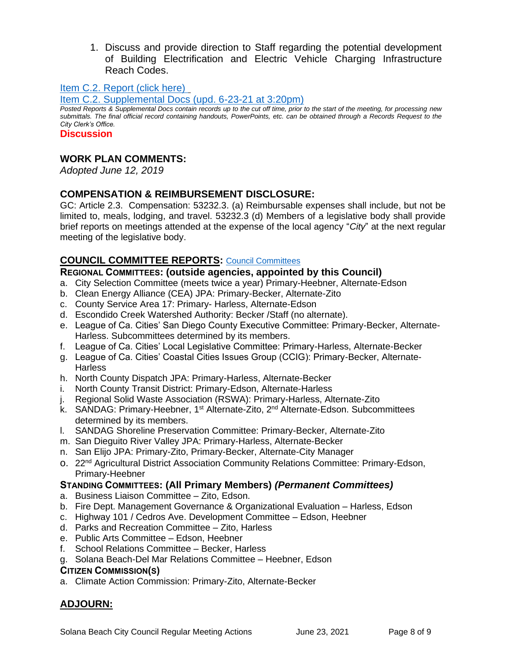1. Discuss and provide direction to Staff regarding the potential development of Building Electrification and Electric Vehicle Charging Infrastructure Reach Codes.

[Item C.2. Report](https://solanabeach.govoffice3.com/vertical/Sites/%7B840804C2-F869-4904-9AE3-720581350CE7%7D/uploads/Item_C.2._Report_(click_here)_06-23-21_O.pdf) (click here)

[Item C.2. Supplemental Docs \(upd. 6-23-21 at 3:20pm\)](https://solanabeach.govoffice3.com/vertical/Sites/%7B840804C2-F869-4904-9AE3-720581350CE7%7D/uploads/Item_C.2._Supplemental_Docs_(upd._6-23_308pm)_-_O.pdf)

*Posted Reports & Supplemental Docs contain records up to the cut off time, prior to the start of the meeting, for processing new submittals. The final official record containing handouts, PowerPoints, etc. can be obtained through a Records Request to the City Clerk's Office.*

**Discussion**

## **WORK PLAN COMMENTS:**

*Adopted June 12, 2019*

## **COMPENSATION & REIMBURSEMENT DISCLOSURE:**

GC: Article 2.3. Compensation: 53232.3. (a) Reimbursable expenses shall include, but not be limited to, meals, lodging, and travel. 53232.3 (d) Members of a legislative body shall provide brief reports on meetings attended at the expense of the local agency "*City*" at the next regular meeting of the legislative body.

## **COUNCIL COMMITTEE REPORTS:** [Council Committees](https://www.ci.solana-beach.ca.us/index.asp?SEC=584E1192-3850-46EA-B977-088AC3E81E0D&Type=B_BASIC)

## **REGIONAL COMMITTEES: (outside agencies, appointed by this Council)**

- a. City Selection Committee (meets twice a year) Primary-Heebner, Alternate-Edson
- b. Clean Energy Alliance (CEA) JPA: Primary-Becker, Alternate-Zito
- c. County Service Area 17: Primary- Harless, Alternate-Edson
- d. Escondido Creek Watershed Authority: Becker /Staff (no alternate).
- e. League of Ca. Cities' San Diego County Executive Committee: Primary-Becker, Alternate-Harless. Subcommittees determined by its members.
- f. League of Ca. Cities' Local Legislative Committee: Primary-Harless, Alternate-Becker
- g. League of Ca. Cities' Coastal Cities Issues Group (CCIG): Primary-Becker, Alternate-**Harless**
- h. North County Dispatch JPA: Primary-Harless, Alternate-Becker
- i. North County Transit District: Primary-Edson, Alternate-Harless
- j. Regional Solid Waste Association (RSWA): Primary-Harless, Alternate-Zito
- k. SANDAG: Primary-Heebner, 1<sup>st</sup> Alternate-Zito, 2<sup>nd</sup> Alternate-Edson. Subcommittees determined by its members.
- l. SANDAG Shoreline Preservation Committee: Primary-Becker, Alternate-Zito
- m. San Dieguito River Valley JPA: Primary-Harless, Alternate-Becker
- n. San Elijo JPA: Primary-Zito, Primary-Becker, Alternate-City Manager
- o. 22nd Agricultural District Association Community Relations Committee: Primary-Edson, Primary-Heebner

## **STANDING COMMITTEES: (All Primary Members)** *(Permanent Committees)*

- a. Business Liaison Committee Zito, Edson.
- b. Fire Dept. Management Governance & Organizational Evaluation Harless, Edson
- c. Highway 101 / Cedros Ave. Development Committee Edson, Heebner
- d. Parks and Recreation Committee Zito, Harless
- e. Public Arts Committee Edson, Heebner
- f. School Relations Committee Becker, Harless
- g. Solana Beach-Del Mar Relations Committee Heebner, Edson

### **CITIZEN COMMISSION(S)**

a. Climate Action Commission: Primary-Zito, Alternate-Becker

# **ADJOURN:**